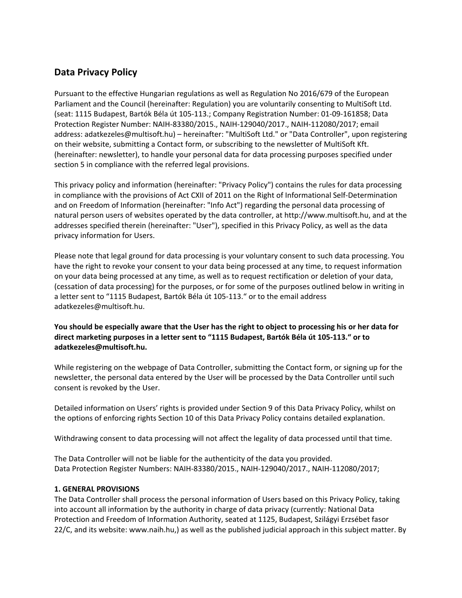# **Data Privacy Policy**

Pursuant to the effective Hungarian regulations as well as Regulation No 2016/679 of the European Parliament and the Council (hereinafter: Regulation) you are voluntarily consenting to MultiSoft Ltd. (seat: 1115 Budapest, Bartók Béla út 105-113.; Company Registration Number: 01-09-161858; Data Protection Register Number: NAIH-83380/2015., NAIH-129040/2017., NAIH-112080/2017; email address: adatkezeles@multisoft.hu) – hereinafter: "MultiSoft Ltd." or "Data Controller", upon registering on their website, submitting a Contact form, or subscribing to the newsletter of MultiSoft Kft. (hereinafter: newsletter), to handle your personal data for data processing purposes specified under section 5 in compliance with the referred legal provisions.

This privacy policy and information (hereinafter: "Privacy Policy") contains the rules for data processing in compliance with the provisions of Act CXII of 2011 on the Right of Informational Self-Determination and on Freedom of Information (hereinafter: "Info Act") regarding the personal data processing of natural person users of websites operated by the data controller, at http://www.multisoft.hu, and at the addresses specified therein (hereinafter: "User"), specified in this Privacy Policy, as well as the data privacy information for Users.

Please note that legal ground for data processing is your voluntary consent to such data processing. You have the right to revoke your consent to your data being processed at any time, to request information on your data being processed at any time, as well as to request rectification or deletion of your data, (cessation of data processing) for the purposes, or for some of the purposes outlined below in writing in a letter sent to "1115 Budapest, Bartók Béla út 105-113." or to the email address adatkezeles@multisoft.hu.

# **You should be especially aware that the User has the right to object to processing his or her data for direct marketing purposes in a letter sent to "1115 Budapest, Bartók Béla út 105-113." or to adatkezeles@multisoft.hu.**

While registering on the webpage of Data Controller, submitting the Contact form, or signing up for the newsletter, the personal data entered by the User will be processed by the Data Controller until such consent is revoked by the User.

Detailed information on Users' rights is provided under Section 9 of this Data Privacy Policy, whilst on the options of enforcing rights Section 10 of this Data Privacy Policy contains detailed explanation.

Withdrawing consent to data processing will not affect the legality of data processed until that time.

The Data Controller will not be liable for the authenticity of the data you provided. Data Protection Register Numbers: NAIH-83380/2015., NAIH-129040/2017., NAIH-112080/2017;

#### **1. GENERAL PROVISIONS**

The Data Controller shall process the personal information of Users based on this Privacy Policy, taking into account all information by the authority in charge of data privacy (currently: National Data Protection and Freedom of Information Authority, seated at 1125, Budapest, Szilágyi Erzsébet fasor 22/C, and its website: www.naih.hu,) as well as the published judicial approach in this subject matter. By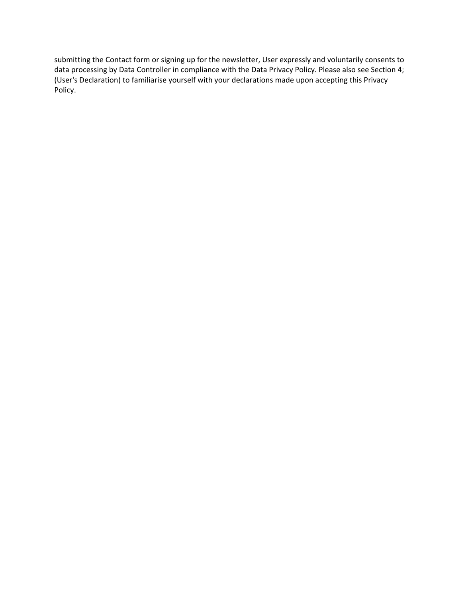submitting the Contact form or signing up for the newsletter, User expressly and voluntarily consents to data processing by Data Controller in compliance with the Data Privacy Policy. Please also see Section 4; (User's Declaration) to familiarise yourself with your declarations made upon accepting this Privacy Policy.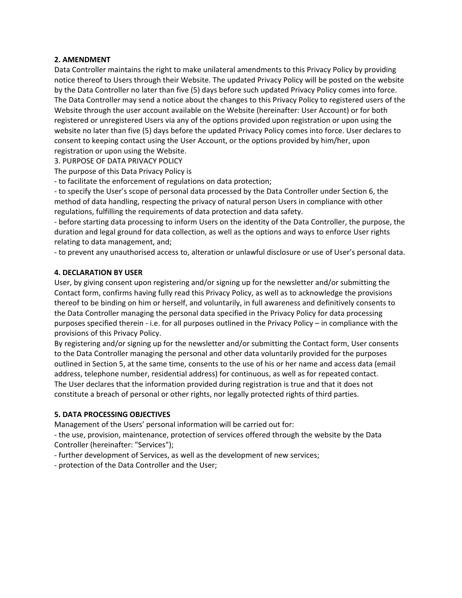#### **2. AMENDMENT**

Data Controller maintains the right to make unilateral amendments to this Privacy Policy by providing notice thereof to Users through their Website. The updated Privacy Policy will be posted on the website by the Data Controller no later than five (5) days before such updated Privacy Policy comes into force. The Data Controller may send a notice about the changes to this Privacy Policy to registered users of the Website through the user account available on the Website (hereinafter: User Account) or for both registered or unregistered Users via any of the options provided upon registration or upon using the website no later than five (5) days before the updated Privacy Policy comes into force. User declares to consent to keeping contact using the User Account, or the options provided by him/her, upon registration or upon using the Website.

3. PURPOSE OF DATA PRIVACY POLICY

The purpose of this Data Privacy Policy is

- to facilitate the enforcement of regulations on data protection;

- to specify the User's scope of personal data processed by the Data Controller under Section 6, the method of data handling, respecting the privacy of natural person Users in compliance with other regulations, fulfilling the requirements of data protection and data safety.

- before starting data processing to inform Users on the identity of the Data Controller, the purpose, the duration and legal ground for data collection, as well as the options and ways to enforce User rights relating to data management, and;

- to prevent any unauthorised access to, alteration or unlawful disclosure or use of User's personal data.

#### **4. DECLARATION BY USER**

User, by giving consent upon registering and/or signing up for the newsletter and/or submitting the Contact form, confirms having fully read this Privacy Policy, as well as to acknowledge the provisions thereof to be binding on him or herself, and voluntarily, in full awareness and definitively consents to the Data Controller managing the personal data specified in the Privacy Policy for data processing purposes specified therein - i.e. for all purposes outlined in the Privacy Policy – in compliance with the provisions of this Privacy Policy.

By registering and/or signing up for the newsletter and/or submitting the Contact form, User consents to the Data Controller managing the personal and other data voluntarily provided for the purposes outlined in Section 5, at the same time, consents to the use of his or her name and access data (email address, telephone number, residential address) for continuous, as well as for repeated contact. The User declares that the information provided during registration is true and that it does not constitute a breach of personal or other rights, nor legally protected rights of third parties.

#### **5. DATA PROCESSING OBJECTIVES**

Management of the Users' personal information will be carried out for:

- the use, provision, maintenance, protection of services offered through the website by the Data Controller (hereinafter: "Services");

- further development of Services, as well as the development of new services;
- protection of the Data Controller and the User;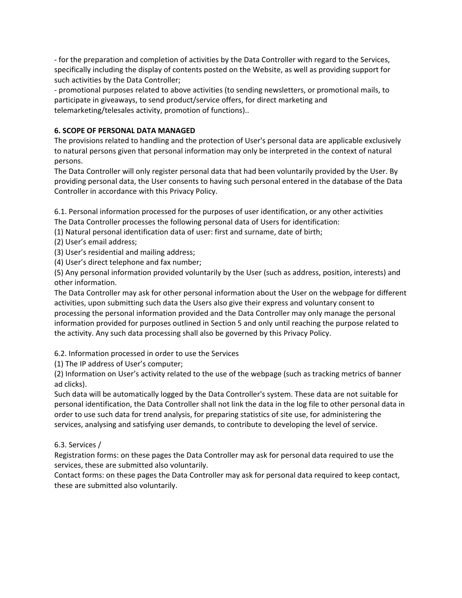- for the preparation and completion of activities by the Data Controller with regard to the Services, specifically including the display of contents posted on the Website, as well as providing support for such activities by the Data Controller;

- promotional purposes related to above activities (to sending newsletters, or promotional mails, to participate in giveaways, to send product/service offers, for direct marketing and telemarketing/telesales activity, promotion of functions)..

# **6. SCOPE OF PERSONAL DATA MANAGED**

The provisions related to handling and the protection of User's personal data are applicable exclusively to natural persons given that personal information may only be interpreted in the context of natural persons.

The Data Controller will only register personal data that had been voluntarily provided by the User. By providing personal data, the User consents to having such personal entered in the database of the Data Controller in accordance with this Privacy Policy.

6.1. Personal information processed for the purposes of user identification, or any other activities The Data Controller processes the following personal data of Users for identification:

(1) Natural personal identification data of user: first and surname, date of birth;

(2) User's email address;

(3) User's residential and mailing address;

(4) User's direct telephone and fax number;

(5) Any personal information provided voluntarily by the User (such as address, position, interests) and other information.

The Data Controller may ask for other personal information about the User on the webpage for different activities, upon submitting such data the Users also give their express and voluntary consent to processing the personal information provided and the Data Controller may only manage the personal information provided for purposes outlined in Section 5 and only until reaching the purpose related to the activity. Any such data processing shall also be governed by this Privacy Policy.

6.2. Information processed in order to use the Services

(1) The IP address of User's computer;

(2) Information on User's activity related to the use of the webpage (such as tracking metrics of banner ad clicks).

Such data will be automatically logged by the Data Controller's system. These data are not suitable for personal identification, the Data Controller shall not link the data in the log file to other personal data in order to use such data for trend analysis, for preparing statistics of site use, for administering the services, analysing and satisfying user demands, to contribute to developing the level of service.

#### 6.3. Services /

Registration forms: on these pages the Data Controller may ask for personal data required to use the services, these are submitted also voluntarily.

Contact forms: on these pages the Data Controller may ask for personal data required to keep contact, these are submitted also voluntarily.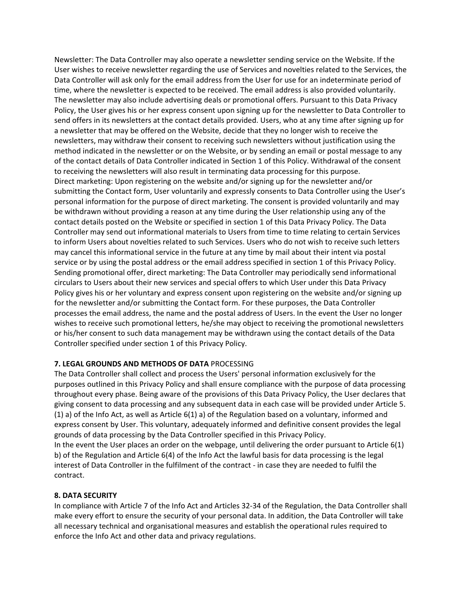Newsletter: The Data Controller may also operate a newsletter sending service on the Website. If the User wishes to receive newsletter regarding the use of Services and novelties related to the Services, the Data Controller will ask only for the email address from the User for use for an indeterminate period of time, where the newsletter is expected to be received. The email address is also provided voluntarily. The newsletter may also include advertising deals or promotional offers. Pursuant to this Data Privacy Policy, the User gives his or her express consent upon signing up for the newsletter to Data Controller to send offers in its newsletters at the contact details provided. Users, who at any time after signing up for a newsletter that may be offered on the Website, decide that they no longer wish to receive the newsletters, may withdraw their consent to receiving such newsletters without justification using the method indicated in the newsletter or on the Website, or by sending an email or postal message to any of the contact details of Data Controller indicated in Section 1 of this Policy. Withdrawal of the consent to receiving the newsletters will also result in terminating data processing for this purpose. Direct marketing: Upon registering on the website and/or signing up for the newsletter and/or submitting the Contact form, User voluntarily and expressly consents to Data Controller using the User's personal information for the purpose of direct marketing. The consent is provided voluntarily and may be withdrawn without providing a reason at any time during the User relationship using any of the contact details posted on the Website or specified in section 1 of this Data Privacy Policy. The Data Controller may send out informational materials to Users from time to time relating to certain Services to inform Users about novelties related to such Services. Users who do not wish to receive such letters may cancel this informational service in the future at any time by mail about their intent via postal service or by using the postal address or the email address specified in section 1 of this Privacy Policy. Sending promotional offer, direct marketing: The Data Controller may periodically send informational circulars to Users about their new services and special offers to which User under this Data Privacy Policy gives his or her voluntary and express consent upon registering on the website and/or signing up for the newsletter and/or submitting the Contact form. For these purposes, the Data Controller processes the email address, the name and the postal address of Users. In the event the User no longer wishes to receive such promotional letters, he/she may object to receiving the promotional newsletters or his/her consent to such data management may be withdrawn using the contact details of the Data Controller specified under section 1 of this Privacy Policy.

#### **7. LEGAL GROUNDS AND METHODS OF DATA** PROCESSING

The Data Controller shall collect and process the Users' personal information exclusively for the purposes outlined in this Privacy Policy and shall ensure compliance with the purpose of data processing throughout every phase. Being aware of the provisions of this Data Privacy Policy, the User declares that giving consent to data processing and any subsequent data in each case will be provided under Article 5. (1) a) of the Info Act, as well as Article 6(1) a) of the Regulation based on a voluntary, informed and express consent by User. This voluntary, adequately informed and definitive consent provides the legal grounds of data processing by the Data Controller specified in this Privacy Policy. In the event the User places an order on the webpage, until delivering the order pursuant to Article 6(1) b) of the Regulation and Article 6(4) of the Info Act the lawful basis for data processing is the legal interest of Data Controller in the fulfilment of the contract - in case they are needed to fulfil the contract.

#### **8. DATA SECURITY**

In compliance with Article 7 of the Info Act and Articles 32-34 of the Regulation, the Data Controller shall make every effort to ensure the security of your personal data. In addition, the Data Controller will take all necessary technical and organisational measures and establish the operational rules required to enforce the Info Act and other data and privacy regulations.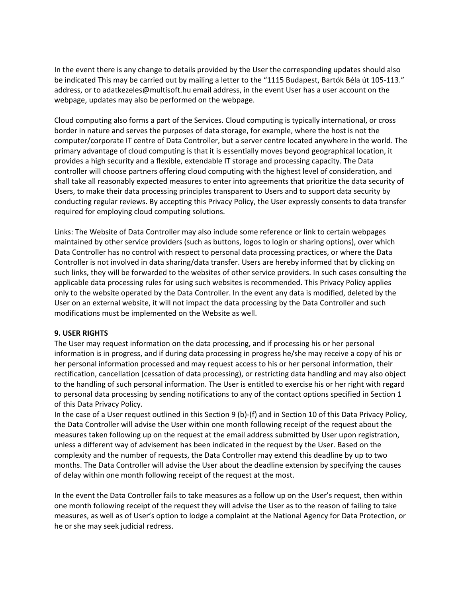In the event there is any change to details provided by the User the corresponding updates should also be indicated This may be carried out by mailing a letter to the "1115 Budapest, Bartók Béla út 105-113." address, or to adatkezeles@multisoft.hu email address, in the event User has a user account on the webpage, updates may also be performed on the webpage.

Cloud computing also forms a part of the Services. Cloud computing is typically international, or cross border in nature and serves the purposes of data storage, for example, where the host is not the computer/corporate IT centre of Data Controller, but a server centre located anywhere in the world. The primary advantage of cloud computing is that it is essentially moves beyond geographical location, it provides a high security and a flexible, extendable IT storage and processing capacity. The Data controller will choose partners offering cloud computing with the highest level of consideration, and shall take all reasonably expected measures to enter into agreements that prioritize the data security of Users, to make their data processing principles transparent to Users and to support data security by conducting regular reviews. By accepting this Privacy Policy, the User expressly consents to data transfer required for employing cloud computing solutions.

Links: The Website of Data Controller may also include some reference or link to certain webpages maintained by other service providers (such as buttons, logos to login or sharing options), over which Data Controller has no control with respect to personal data processing practices, or where the Data Controller is not involved in data sharing/data transfer. Users are hereby informed that by clicking on such links, they will be forwarded to the websites of other service providers. In such cases consulting the applicable data processing rules for using such websites is recommended. This Privacy Policy applies only to the website operated by the Data Controller. In the event any data is modified, deleted by the User on an external website, it will not impact the data processing by the Data Controller and such modifications must be implemented on the Website as well.

#### **9. USER RIGHTS**

The User may request information on the data processing, and if processing his or her personal information is in progress, and if during data processing in progress he/she may receive a copy of his or her personal information processed and may request access to his or her personal information, their rectification, cancellation (cessation of data processing), or restricting data handling and may also object to the handling of such personal information. The User is entitled to exercise his or her right with regard to personal data processing by sending notifications to any of the contact options specified in Section 1 of this Data Privacy Policy.

In the case of a User request outlined in this Section 9 (b)-(f) and in Section 10 of this Data Privacy Policy, the Data Controller will advise the User within one month following receipt of the request about the measures taken following up on the request at the email address submitted by User upon registration, unless a different way of advisement has been indicated in the request by the User. Based on the complexity and the number of requests, the Data Controller may extend this deadline by up to two months. The Data Controller will advise the User about the deadline extension by specifying the causes of delay within one month following receipt of the request at the most.

In the event the Data Controller fails to take measures as a follow up on the User's request, then within one month following receipt of the request they will advise the User as to the reason of failing to take measures, as well as of User's option to lodge a complaint at the National Agency for Data Protection, or he or she may seek judicial redress.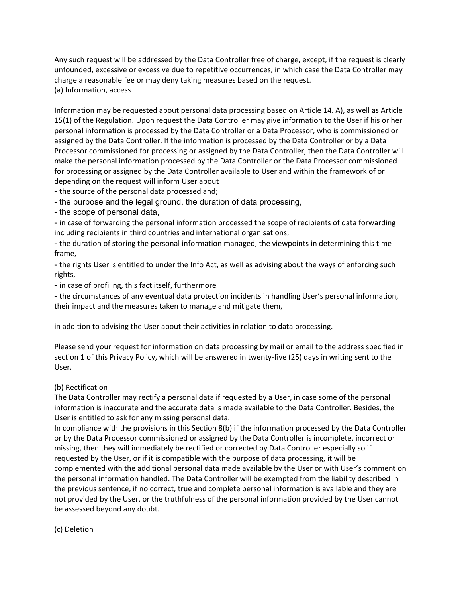Any such request will be addressed by the Data Controller free of charge, except, if the request is clearly unfounded, excessive or excessive due to repetitive occurrences, in which case the Data Controller may charge a reasonable fee or may deny taking measures based on the request. (a) Information, access

Information may be requested about personal data processing based on Article 14. A), as well as Article 15(1) of the Regulation. Upon request the Data Controller may give information to the User if his or her personal information is processed by the Data Controller or a Data Processor, who is commissioned or assigned by the Data Controller. If the information is processed by the Data Controller or by a Data Processor commissioned for processing or assigned by the Data Controller, then the Data Controller will make the personal information processed by the Data Controller or the Data Processor commissioned for processing or assigned by the Data Controller available to User and within the framework of or depending on the request will inform User about

- the source of the personal data processed and;

- the purpose and the legal ground, the duration of data processing,

- the scope of personal data,

- in case of forwarding the personal information processed the scope of recipients of data forwarding including recipients in third countries and international organisations,

- the duration of storing the personal information managed, the viewpoints in determining this time frame,

- the rights User is entitled to under the Info Act, as well as advising about the ways of enforcing such rights,

- in case of profiling, this fact itself, furthermore

- the circumstances of any eventual data protection incidents in handling User's personal information, their impact and the measures taken to manage and mitigate them,

in addition to advising the User about their activities in relation to data processing.

Please send your request for information on data processing by mail or email to the address specified in section 1 of this Privacy Policy, which will be answered in twenty-five (25) days in writing sent to the User.

#### (b) Rectification

The Data Controller may rectify a personal data if requested by a User, in case some of the personal information is inaccurate and the accurate data is made available to the Data Controller. Besides, the User is entitled to ask for any missing personal data.

In compliance with the provisions in this Section 8(b) if the information processed by the Data Controller or by the Data Processor commissioned or assigned by the Data Controller is incomplete, incorrect or missing, then they will immediately be rectified or corrected by Data Controller especially so if requested by the User, or if it is compatible with the purpose of data processing, it will be complemented with the additional personal data made available by the User or with User's comment on the personal information handled. The Data Controller will be exempted from the liability described in the previous sentence, if no correct, true and complete personal information is available and they are not provided by the User, or the truthfulness of the personal information provided by the User cannot be assessed beyond any doubt.

(c) Deletion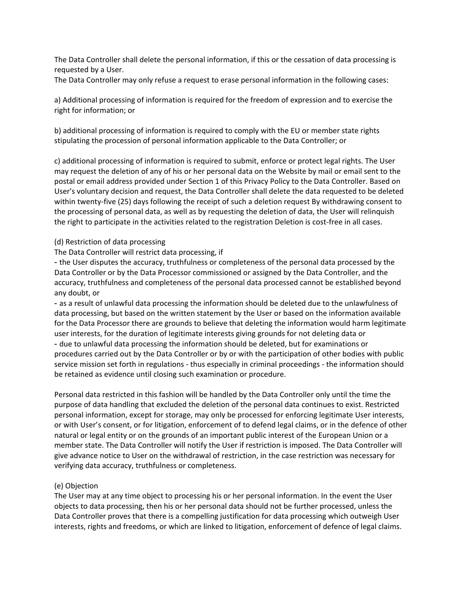The Data Controller shall delete the personal information, if this or the cessation of data processing is requested by a User.

The Data Controller may only refuse a request to erase personal information in the following cases:

a) Additional processing of information is required for the freedom of expression and to exercise the right for information; or

b) additional processing of information is required to comply with the EU or member state rights stipulating the procession of personal information applicable to the Data Controller; or

c) additional processing of information is required to submit, enforce or protect legal rights. The User may request the deletion of any of his or her personal data on the Website by mail or email sent to the postal or email address provided under Section 1 of this Privacy Policy to the Data Controller. Based on User's voluntary decision and request, the Data Controller shall delete the data requested to be deleted within twenty-five (25) days following the receipt of such a deletion request By withdrawing consent to the processing of personal data, as well as by requesting the deletion of data, the User will relinquish the right to participate in the activities related to the registration Deletion is cost-free in all cases.

#### (d) Restriction of data processing

#### The Data Controller will restrict data processing, if

- the User disputes the accuracy, truthfulness or completeness of the personal data processed by the Data Controller or by the Data Processor commissioned or assigned by the Data Controller, and the accuracy, truthfulness and completeness of the personal data processed cannot be established beyond any doubt, or

- as a result of unlawful data processing the information should be deleted due to the unlawfulness of data processing, but based on the written statement by the User or based on the information available for the Data Processor there are grounds to believe that deleting the information would harm legitimate user interests, for the duration of legitimate interests giving grounds for not deleting data or - due to unlawful data processing the information should be deleted, but for examinations or procedures carried out by the Data Controller or by or with the participation of other bodies with public service mission set forth in regulations - thus especially in criminal proceedings - the information should be retained as evidence until closing such examination or procedure.

Personal data restricted in this fashion will be handled by the Data Controller only until the time the purpose of data handling that excluded the deletion of the personal data continues to exist. Restricted personal information, except for storage, may only be processed for enforcing legitimate User interests, or with User's consent, or for litigation, enforcement of to defend legal claims, or in the defence of other natural or legal entity or on the grounds of an important public interest of the European Union or a member state. The Data Controller will notify the User if restriction is imposed. The Data Controller will give advance notice to User on the withdrawal of restriction, in the case restriction was necessary for verifying data accuracy, truthfulness or completeness.

#### (e) Objection

The User may at any time object to processing his or her personal information. In the event the User objects to data processing, then his or her personal data should not be further processed, unless the Data Controller proves that there is a compelling justification for data processing which outweigh User interests, rights and freedoms, or which are linked to litigation, enforcement of defence of legal claims.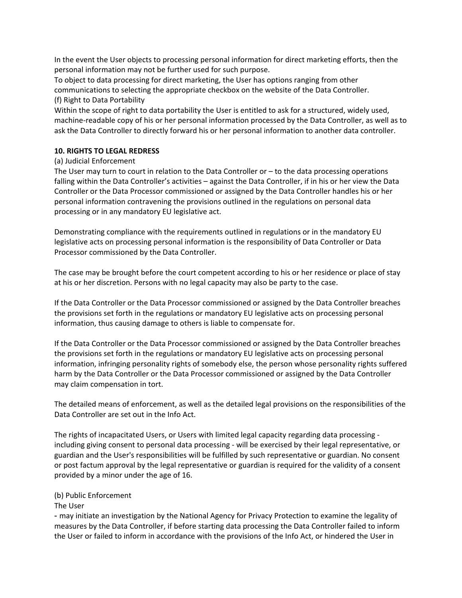In the event the User objects to processing personal information for direct marketing efforts, then the personal information may not be further used for such purpose.

To object to data processing for direct marketing, the User has options ranging from other communications to selecting the appropriate checkbox on the website of the Data Controller. (f) Right to Data Portability

Within the scope of right to data portability the User is entitled to ask for a structured, widely used, machine-readable copy of his or her personal information processed by the Data Controller, as well as to ask the Data Controller to directly forward his or her personal information to another data controller.

#### **10. RIGHTS TO LEGAL REDRESS**

## (a) Judicial Enforcement

The User may turn to court in relation to the Data Controller or – to the data processing operations falling within the Data Controller's activities – against the Data Controller, if in his or her view the Data Controller or the Data Processor commissioned or assigned by the Data Controller handles his or her personal information contravening the provisions outlined in the regulations on personal data processing or in any mandatory EU legislative act.

Demonstrating compliance with the requirements outlined in regulations or in the mandatory EU legislative acts on processing personal information is the responsibility of Data Controller or Data Processor commissioned by the Data Controller.

The case may be brought before the court competent according to his or her residence or place of stay at his or her discretion. Persons with no legal capacity may also be party to the case.

If the Data Controller or the Data Processor commissioned or assigned by the Data Controller breaches the provisions set forth in the regulations or mandatory EU legislative acts on processing personal information, thus causing damage to others is liable to compensate for.

If the Data Controller or the Data Processor commissioned or assigned by the Data Controller breaches the provisions set forth in the regulations or mandatory EU legislative acts on processing personal information, infringing personality rights of somebody else, the person whose personality rights suffered harm by the Data Controller or the Data Processor commissioned or assigned by the Data Controller may claim compensation in tort.

The detailed means of enforcement, as well as the detailed legal provisions on the responsibilities of the Data Controller are set out in the Info Act.

The rights of incapacitated Users, or Users with limited legal capacity regarding data processing including giving consent to personal data processing - will be exercised by their legal representative, or guardian and the User's responsibilities will be fulfilled by such representative or guardian. No consent or post factum approval by the legal representative or guardian is required for the validity of a consent provided by a minor under the age of 16.

#### (b) Public Enforcement

The User

- may initiate an investigation by the National Agency for Privacy Protection to examine the legality of measures by the Data Controller, if before starting data processing the Data Controller failed to inform the User or failed to inform in accordance with the provisions of the Info Act, or hindered the User in